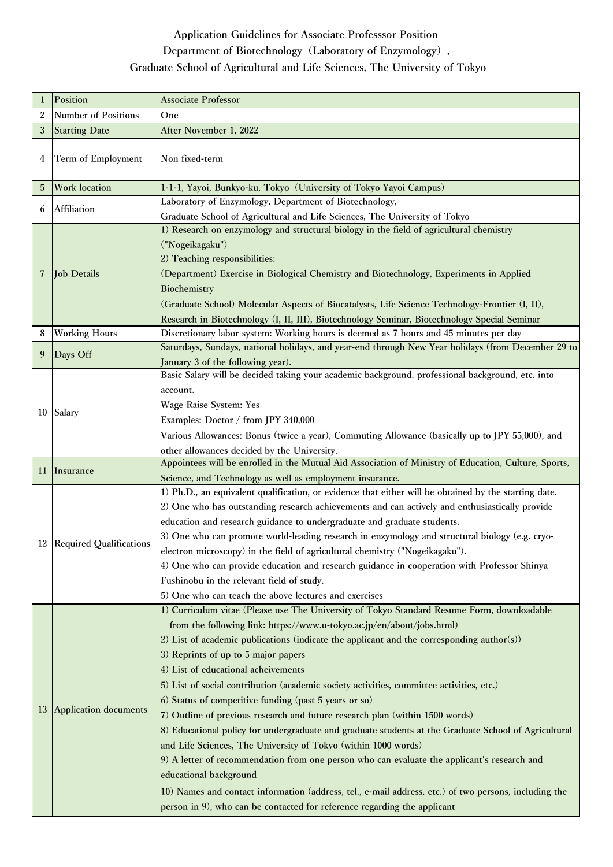## **Application Guidelines for Associate Professsor Position**

## **Department of Biotechnology(Laboratory of Enzymology),**

## **Graduate School of Agricultural and Life Sciences, The University of Tokyo**

| 1              | Position                     | <b>Associate Professor</b>                                                                                                                                                                                                                                                                                                                                                                                                                                                                                                                                                                                                                                                                                                                                                                                                                                                                                                                                                                                                                                                   |
|----------------|------------------------------|------------------------------------------------------------------------------------------------------------------------------------------------------------------------------------------------------------------------------------------------------------------------------------------------------------------------------------------------------------------------------------------------------------------------------------------------------------------------------------------------------------------------------------------------------------------------------------------------------------------------------------------------------------------------------------------------------------------------------------------------------------------------------------------------------------------------------------------------------------------------------------------------------------------------------------------------------------------------------------------------------------------------------------------------------------------------------|
| 2              | <b>Number of Positions</b>   | One                                                                                                                                                                                                                                                                                                                                                                                                                                                                                                                                                                                                                                                                                                                                                                                                                                                                                                                                                                                                                                                                          |
| 3              | <b>Starting Date</b>         | After November 1, 2022                                                                                                                                                                                                                                                                                                                                                                                                                                                                                                                                                                                                                                                                                                                                                                                                                                                                                                                                                                                                                                                       |
| 4              | Term of Employment           | Non fixed-term                                                                                                                                                                                                                                                                                                                                                                                                                                                                                                                                                                                                                                                                                                                                                                                                                                                                                                                                                                                                                                                               |
| 5              | <b>Work location</b>         | 1-1-1, Yayoi, Bunkyo-ku, Tokyo (University of Tokyo Yayoi Campus)                                                                                                                                                                                                                                                                                                                                                                                                                                                                                                                                                                                                                                                                                                                                                                                                                                                                                                                                                                                                            |
| 6              | Affiliation                  | Laboratory of Enzymology, Department of Biotechnology,                                                                                                                                                                                                                                                                                                                                                                                                                                                                                                                                                                                                                                                                                                                                                                                                                                                                                                                                                                                                                       |
| $\overline{7}$ | <b>Job Details</b>           | Graduate School of Agricultural and Life Sciences, The University of Tokyo<br>1) Research on enzymology and structural biology in the field of agricultural chemistry<br>("Nogeikagaku")<br>2) Teaching responsibilities:<br>(Department) Exercise in Biological Chemistry and Biotechnology, Experiments in Applied<br>Biochemistry<br>(Graduate School) Molecular Aspects of Biocatalysts, Life Science Technology-Frontier (I, II),<br>Research in Biotechnology (I, II, III), Biotechnology Seminar, Biotechnology Special Seminar                                                                                                                                                                                                                                                                                                                                                                                                                                                                                                                                       |
| 8              | <b>Working Hours</b>         | Discretionary labor system: Working hours is deemed as 7 hours and 45 minutes per day                                                                                                                                                                                                                                                                                                                                                                                                                                                                                                                                                                                                                                                                                                                                                                                                                                                                                                                                                                                        |
| 9              | Days Off                     | Saturdays, Sundays, national holidays, and year-end through New Year holidays (from December 29 to<br>January 3 of the following year).                                                                                                                                                                                                                                                                                                                                                                                                                                                                                                                                                                                                                                                                                                                                                                                                                                                                                                                                      |
| 10             | Salary                       | Basic Salary will be decided taking your academic background, professional background, etc. into<br>account.<br><b>Wage Raise System: Yes</b><br>Examples: Doctor / from JPY 340,000<br>Various Allowances: Bonus (twice a year), Commuting Allowance (basically up to JPY 55,000), and<br>other allowances decided by the University.                                                                                                                                                                                                                                                                                                                                                                                                                                                                                                                                                                                                                                                                                                                                       |
| 11             | Insurance                    | Appointees will be enrolled in the Mutual Aid Association of Ministry of Education, Culture, Sports,<br>Science, and Technology as well as employment insurance.                                                                                                                                                                                                                                                                                                                                                                                                                                                                                                                                                                                                                                                                                                                                                                                                                                                                                                             |
|                | 12 Required Qualifications   | 1) Ph.D., an equivalent qualification, or evidence that either will be obtained by the starting date.<br>2) One who has outstanding research achievements and can actively and enthusiastically provide<br>education and research guidance to undergraduate and graduate students.<br>3) One who can promote world-leading research in enzymology and structural biology (e.g. cryo-<br>electron microscopy) in the field of agricultural chemistry ("Nogeikagaku").<br>4) One who can provide education and research guidance in cooperation with Professor Shinya<br>Fushinobu in the relevant field of study.<br>5) One who can teach the above lectures and exercises                                                                                                                                                                                                                                                                                                                                                                                                    |
| 13             | <b>Application documents</b> | 1) Curriculum vitae (Please use The University of Tokyo Standard Resume Form, downloadable<br>from the following link: https://www.u-tokyo.ac.jp/en/about/jobs.html)<br>2) List of academic publications (indicate the applicant and the corresponding author(s))<br>3) Reprints of up to 5 major papers<br>4) List of educational acheivements<br>5) List of social contribution (academic society activities, committee activities, etc.)<br>6) Status of competitive funding (past 5 years or so)<br>7) Outline of previous research and future research plan (within 1500 words)<br>8) Educational policy for undergraduate and graduate students at the Graduate School of Agricultural<br>and Life Sciences, The University of Tokyo (within 1000 words)<br>9) A letter of recommendation from one person who can evaluate the applicant's research and<br>educational background<br>10) Names and contact information (address, tel., e-mail address, etc.) of two persons, including the<br>person in 9), who can be contacted for reference regarding the applicant |